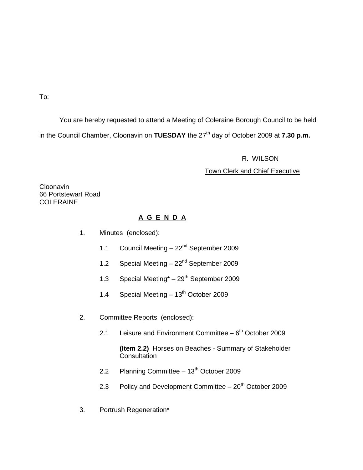To:

You are hereby requested to attend a Meeting of Coleraine Borough Council to be held in the Council Chamber, Cloonavin on **TUESDAY** the 27<sup>th</sup> day of October 2009 at **7.30 p.m.** 

R. WILSON

# Town Clerk and Chief Executive

**Cloonavin** 66 Portstewart Road **COLERAINE** 

# **A G E N D A**

- 1. Minutes (enclosed):
	- 1.1 Council Meeting 22<sup>nd</sup> September 2009
	- 1.2 Special Meeting 22<sup>nd</sup> September 2009
	- 1.3 Special Meeting $* 29$ <sup>th</sup> September 2009
	- 1.4 Special Meeting  $-13^{th}$  October 2009
- 2. Committee Reports (enclosed):
	- 2.1 Leisure and Environment Committee  $-6<sup>th</sup>$  October 2009

**(Item 2.2)** Horses on Beaches - Summary of Stakeholder **Consultation** 

- 2.2 Planning Committee  $13<sup>th</sup>$  October 2009
- 2.3 Policy and Development Committee  $-20<sup>th</sup>$  October 2009
- 3. Portrush Regeneration\*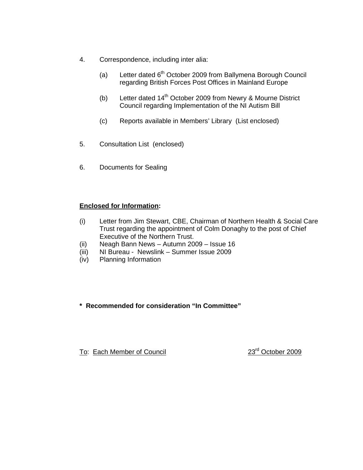- 4. Correspondence, including inter alia:
	- (a) Letter dated  $6<sup>th</sup>$  October 2009 from Ballymena Borough Council regarding British Forces Post Offices in Mainland Europe
	- (b) Letter dated  $14<sup>th</sup>$  October 2009 from Newry & Mourne District Council regarding Implementation of the NI Autism Bill
	- (c) Reports available in Members' Library (List enclosed)
- 5. Consultation List (enclosed)
- 6. Documents for Sealing

# **Enclosed for Information:**

- (i) Letter from Jim Stewart, CBE, Chairman of Northern Health & Social Care Trust regarding the appointment of Colm Donaghy to the post of Chief Executive of the Northern Trust.
- (ii) Neagh Bann News Autumn 2009 Issue 16
- (iii) NI Bureau Newslink Summer Issue 2009
- (iv) Planning Information

# **\* Recommended for consideration "In Committee"**

To: Each Member of Council 23<sup>rd</sup> October 2009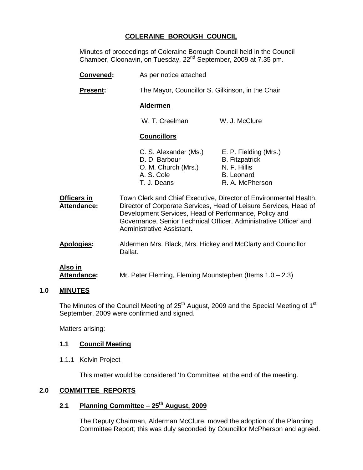# **COLERAINE BOROUGH COUNCIL**

Minutes of proceedings of Coleraine Borough Council held in the Council Chamber, Cloonavin, on Tuesday, 22nd September, 2009 at 7.35 pm.

- **Convened:** As per notice attached **Present:** The Mayor, Councillor S. Gilkinson, in the Chair **Aldermen** W. T. Creelman W. J. McClure **Councillors** C. S. Alexander (Ms.) E. P. Fielding (Mrs.) D. D. Barbour B. Fitzpatrick O. M. Church (Mrs.) N. F. Hillis A. S. Cole B. Leonard T. J. Deans R. A. McPherson
- **Officers in** Town Clerk and Chief Executive, Director of Environmental Health, **Attendance:** Director of Corporate Services, Head of Leisure Services, Head of Development Services, Head of Performance, Policy and Governance, Senior Technical Officer, Administrative Officer and Administrative Assistant.
- **Apologies:** Aldermen Mrs. Black, Mrs. Hickey and McClarty and Councillor Dallat.

# **Also in**

**Attendance:** Mr. Peter Fleming, Fleming Mounstephen (Items 1.0 – 2.3)

# **1.0 MINUTES**

The Minutes of the Council Meeting of 25<sup>th</sup> August, 2009 and the Special Meeting of 1<sup>st</sup> September, 2009 were confirmed and signed.

Matters arising:

# **1.1 Council Meeting**

1.1.1 Kelvin Project

This matter would be considered 'In Committee' at the end of the meeting.

# **2.0 COMMITTEE REPORTS**

# **2.1 Planning Committee – 25th August, 2009**

 The Deputy Chairman, Alderman McClure, moved the adoption of the Planning Committee Report; this was duly seconded by Councillor McPherson and agreed.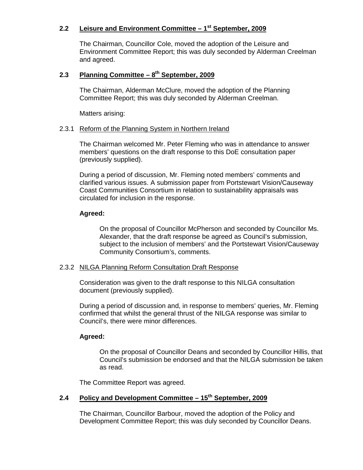# **2.2 Leisure and Environment Committee – 1st September, 2009**

 The Chairman, Councillor Cole, moved the adoption of the Leisure and Environment Committee Report; this was duly seconded by Alderman Creelman and agreed.

#### **2.3 Planning Committee – 8th September, 2009**

 The Chairman, Alderman McClure, moved the adoption of the Planning Committee Report; this was duly seconded by Alderman Creelman.

Matters arising:

#### 2.3.1 Reform of the Planning System in Northern Ireland

 The Chairman welcomed Mr. Peter Fleming who was in attendance to answer members' questions on the draft response to this DoE consultation paper (previously supplied).

 During a period of discussion, Mr. Fleming noted members' comments and clarified various issues. A submission paper from Portstewart Vision/Causeway Coast Communities Consortium in relation to sustainability appraisals was circulated for inclusion in the response.

#### **Agreed:**

On the proposal of Councillor McPherson and seconded by Councillor Ms. Alexander, that the draft response be agreed as Council's submission, subject to the inclusion of members' and the Portstewart Vision/Causeway Community Consortium's, comments.

#### 2.3.2 NILGA Planning Reform Consultation Draft Response

 Consideration was given to the draft response to this NILGA consultation document (previously supplied).

 During a period of discussion and, in response to members' queries, Mr. Fleming confirmed that whilst the general thrust of the NILGA response was similar to Council's, there were minor differences.

# **Agreed:**

On the proposal of Councillor Deans and seconded by Councillor Hillis, that Council's submission be endorsed and that the NILGA submission be taken as read.

The Committee Report was agreed.

# **2.4 Policy and Development Committee – 15th September, 2009**

 The Chairman, Councillor Barbour, moved the adoption of the Policy and Development Committee Report; this was duly seconded by Councillor Deans.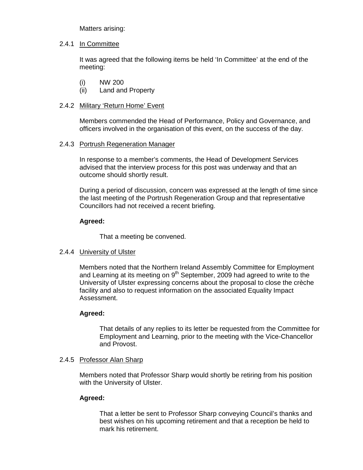Matters arising:

# 2.4.1 In Committee

 It was agreed that the following items be held 'In Committee' at the end of the meeting:

- (i) NW 200
- (ii) Land and Property

# 2.4.2 Military 'Return Home' Event

 Members commended the Head of Performance, Policy and Governance, and officers involved in the organisation of this event, on the success of the day.

# 2.4.3 Portrush Regeneration Manager

 In response to a member's comments, the Head of Development Services advised that the interview process for this post was underway and that an outcome should shortly result.

 During a period of discussion, concern was expressed at the length of time since the last meeting of the Portrush Regeneration Group and that representative Councillors had not received a recent briefing.

# **Agreed:**

That a meeting be convened.

# 2.4.4 University of Ulster

 Members noted that the Northern Ireland Assembly Committee for Employment and Learning at its meeting on  $9<sup>th</sup>$  September, 2009 had agreed to write to the University of Ulster expressing concerns about the proposal to close the crèche facility and also to request information on the associated Equality Impact Assessment.

# **Agreed:**

That details of any replies to its letter be requested from the Committee for Employment and Learning, prior to the meeting with the Vice-Chancellor and Provost.

# 2.4.5 Professor Alan Sharp

 Members noted that Professor Sharp would shortly be retiring from his position with the University of Ulster.

# **Agreed:**

 That a letter be sent to Professor Sharp conveying Council's thanks and best wishes on his upcoming retirement and that a reception be held to mark his retirement.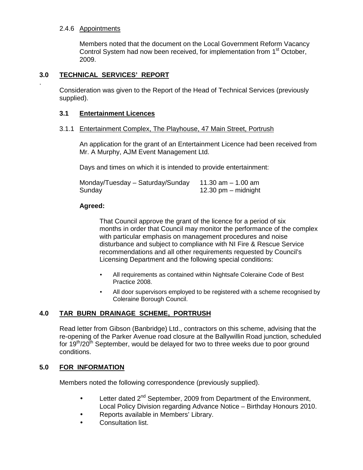## 2.4.6 Appointments

.

 Members noted that the document on the Local Government Reform Vacancy Control System had now been received, for implementation from 1<sup>st</sup> October, 2009.

# **3.0 TECHNICAL SERVICES' REPORT**

 Consideration was given to the Report of the Head of Technical Services (previously supplied).

#### **3.1 Entertainment Licences**

#### 3.1.1 Entertainment Complex, The Playhouse, 47 Main Street, Portrush

 An application for the grant of an Entertainment Licence had been received from Mr. A Murphy, AJM Event Management Ltd.

Days and times on which it is intended to provide entertainment:

| Monday/Tuesday - Saturday/Sunday | 11.30 am $-$ 1.00 am  |
|----------------------------------|-----------------------|
| Sunday                           | 12.30 $pm -$ midnight |

#### **Agreed:**

 That Council approve the grant of the licence for a period of six months in order that Council may monitor the performance of the complex with particular emphasis on management procedures and noise disturbance and subject to compliance with NI Fire & Rescue Service recommendations and all other requirements requested by Council's Licensing Department and the following special conditions:

- All requirements as contained within Nightsafe Coleraine Code of Best Practice 2008.
- All door supervisors employed to be registered with a scheme recognised by Coleraine Borough Council.

# **4.0 TAR BURN DRAINAGE SCHEME, PORTRUSH**

Read letter from Gibson (Banbridge) Ltd., contractors on this scheme, advising that the re-opening of the Parker Avenue road closure at the Ballywillin Road junction, scheduled for  $19<sup>th</sup>/20<sup>th</sup>$  September, would be delayed for two to three weeks due to poor ground conditions.

# **5.0 FOR INFORMATION**

Members noted the following correspondence (previously supplied).

- Letter dated 2<sup>nd</sup> September, 2009 from Department of the Environment, Local Policy Division regarding Advance Notice – Birthday Honours 2010.
- Reports available in Members' Library.
- Consultation list.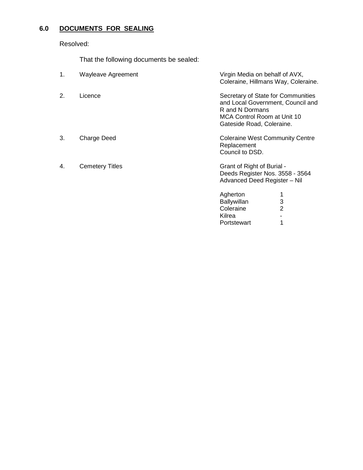# **6.0 DOCUMENTS FOR SEALING**

Resolved:

That the following documents be sealed:

| 1. | <b>Wayleave Agreement</b> | Virgin Media on behalf of AVX,<br>Coleraine, Hillmans Way, Coleraine.                                                                                  |
|----|---------------------------|--------------------------------------------------------------------------------------------------------------------------------------------------------|
| 2. | Licence                   | Secretary of State for Communities<br>and Local Government, Council and<br>R and N Dormans<br>MCA Control Room at Unit 10<br>Gateside Road, Coleraine. |
| 3. | Charge Deed               | <b>Coleraine West Community Centre</b><br>Replacement<br>Council to DSD.                                                                               |
| 4. | <b>Cemetery Titles</b>    | Grant of Right of Burial -<br>Deeds Register Nos. 3558 - 3564<br>Advanced Deed Register - Nil                                                          |
|    |                           | Agherton                                                                                                                                               |
|    |                           | 3<br>Ballywillan                                                                                                                                       |
|    |                           | Coleraine<br>2                                                                                                                                         |
|    |                           | Kilrea                                                                                                                                                 |

Portstewart 1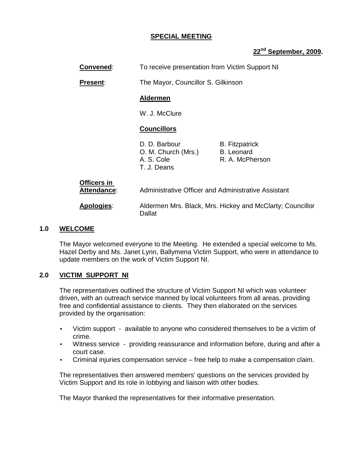#### **SPECIAL MEETING**

# **22nd September, 2009.**

|     | Convened:                  | To receive presentation from Victim Support NI                    |                                                               |  |
|-----|----------------------------|-------------------------------------------------------------------|---------------------------------------------------------------|--|
|     | <b>Present:</b>            | The Mayor, Councillor S. Gilkinson                                |                                                               |  |
|     |                            | <b>Aldermen</b>                                                   |                                                               |  |
|     |                            | W. J. McClure                                                     |                                                               |  |
|     |                            | <b>Councillors</b>                                                |                                                               |  |
|     |                            | D. D. Barbour<br>O. M. Church (Mrs.)<br>A. S. Cole<br>T. J. Deans | <b>B.</b> Fitzpatrick<br><b>B.</b> Leonard<br>R. A. McPherson |  |
|     | Officers in<br>Attendance: |                                                                   | Administrative Officer and Administrative Assistant           |  |
|     | Apologies:                 | Dallat                                                            | Aldermen Mrs. Black, Mrs. Hickey and McClarty; Councillor     |  |
| 1.0 | <b>WELCOME</b>             |                                                                   |                                                               |  |

The Mayor welcomed everyone to the Meeting. He extended a special welcome to Ms. Hazel Derby and Ms. Janet Lynn, Ballymena Victim Support, who were in attendance to update members on the work of Victim Support NI.

# **2.0 VICTIM SUPPORT NI**

The representatives outlined the structure of Victim Support NI which was volunteer driven, with an outreach service manned by local volunteers from all areas, providing free and confidential assistance to clients. They then elaborated on the services provided by the organisation:

- Victim support available to anyone who considered themselves to be a victim of crime.
- Witness service providing reassurance and information before, during and after a court case.
- Criminal injuries compensation service free help to make a compensation claim.

The representatives then answered members' questions on the services provided by Victim Support and its role in lobbying and liaison with other bodies.

The Mayor thanked the representatives for their informative presentation.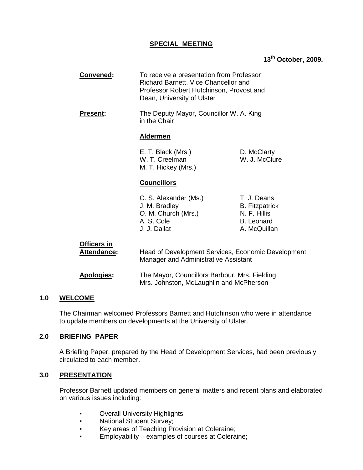# **SPECIAL MEETING**

# **13th October, 2009.**

| Convened:                                | To receive a presentation from Professor<br>Richard Barnett, Vice Chancellor and<br>Professor Robert Hutchinson, Provost and<br>Dean, University of Ulster |                                                                                           |
|------------------------------------------|------------------------------------------------------------------------------------------------------------------------------------------------------------|-------------------------------------------------------------------------------------------|
| <b>Present:</b>                          | The Deputy Mayor, Councillor W. A. King<br>in the Chair                                                                                                    |                                                                                           |
|                                          | <b>Aldermen</b>                                                                                                                                            |                                                                                           |
|                                          | E. T. Black (Mrs.)<br>W. T. Creelman<br>M. T. Hickey (Mrs.)                                                                                                | D. McClarty<br>W. J. McClure                                                              |
|                                          | <b>Councillors</b>                                                                                                                                         |                                                                                           |
|                                          | C. S. Alexander (Ms.)<br>J. M. Bradley<br>O. M. Church (Mrs.)<br>A. S. Cole<br>J. J. Dallat                                                                | T. J. Deans<br><b>B.</b> Fitzpatrick<br>N. F. Hillis<br><b>B.</b> Leonard<br>A. McQuillan |
| <b>Officers in</b><br><b>Attendance:</b> | Head of Development Services, Economic Development<br>Manager and Administrative Assistant                                                                 |                                                                                           |
| <b>Apologies:</b>                        | The Mayor, Councillors Barbour, Mrs. Fielding,<br>Mrs. Johnston, McLaughlin and McPherson                                                                  |                                                                                           |

# **1.0 WELCOME**

 The Chairman welcomed Professors Barnett and Hutchinson who were in attendance to update members on developments at the University of Ulster.

# **2.0 BRIEFING PAPER**

 A Briefing Paper, prepared by the Head of Development Services, had been previously circulated to each member.

# **3.0 PRESENTATION**

 Professor Barnett updated members on general matters and recent plans and elaborated on various issues including:

- Overall University Highlights;
- National Student Survey;
- Key areas of Teaching Provision at Coleraine;
- Employability examples of courses at Coleraine;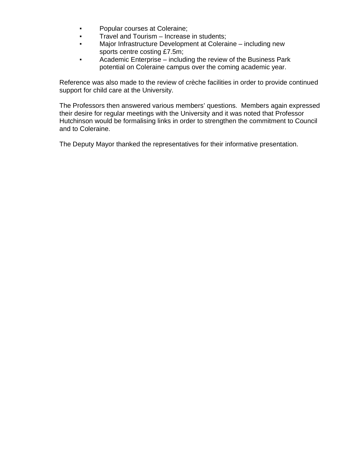- Popular courses at Coleraine;
- **Travel and Tourism Increase in students;**
- Major Infrastructure Development at Coleraine including new sports centre costing £7.5m;
- **•** Academic Enterprise including the review of the Business Park potential on Coleraine campus over the coming academic year.

 Reference was also made to the review of crèche facilities in order to provide continued support for child care at the University.

 The Professors then answered various members' questions. Members again expressed their desire for regular meetings with the University and it was noted that Professor Hutchinson would be formalising links in order to strengthen the commitment to Council and to Coleraine.

The Deputy Mayor thanked the representatives for their informative presentation.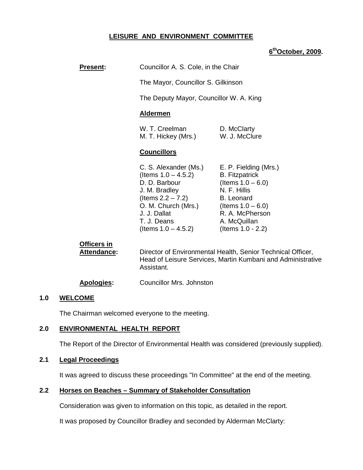# **LEISURE AND ENVIRONMENT COMMITTEE**

# **6 thOctober, 2009.**

| <b>Present:</b> | Councillor A. S. Cole, in the Chair |
|-----------------|-------------------------------------|
|                 |                                     |

The Mayor, Councillor S. Gilkinson

The Deputy Mayor, Councillor W. A. King

#### **Aldermen**

| W. T. Creelman      | D. McClarty   |
|---------------------|---------------|
| M. T. Hickey (Mrs.) | W. J. McClure |

#### **Councillors**

|               | C. S. Alexander (Ms.)  | E. P. Fielding (Mrs.) |
|---------------|------------------------|-----------------------|
|               | (Items $1.0 - 4.5.2$ ) | <b>B.</b> Fitzpatrick |
| D. D. Barbour |                        | (Items $1.0 - 6.0$ )  |
| J. M. Bradley |                        | N. F. Hillis          |
|               | (Items $2.2 - 7.2$ )   | <b>B.</b> Leonard     |
|               | O. M. Church (Mrs.)    | (Items $1.0 - 6.0$ )  |
| J. J. Dallat  |                        | R. A. McPherson       |
| T. J. Deans   |                        | A. McQuillan          |
|               | (Items $1.0 - 4.5.2$ ) | (Items $1.0 - 2.2$ )  |

# **Officers in**

**Attendance:** Director of Environmental Health, Senior Technical Officer, Head of Leisure Services, Martin Kumbani and Administrative Assistant.

#### **Apologies:** Councillor Mrs. Johnston

#### **1.0 WELCOME**

The Chairman welcomed everyone to the meeting.

# **2.0 ENVIRONMENTAL HEALTH REPORT**

The Report of the Director of Environmental Health was considered (previously supplied).

# **2.1 Legal Proceedings**

It was agreed to discuss these proceedings "In Committee" at the end of the meeting.

# **2.2 Horses on Beaches – Summary of Stakeholder Consultation**

Consideration was given to information on this topic, as detailed in the report.

It was proposed by Councillor Bradley and seconded by Alderman McClarty: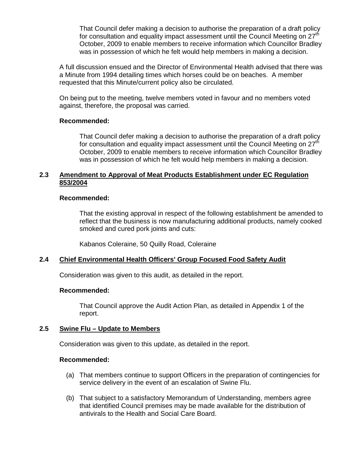That Council defer making a decision to authorise the preparation of a draft policy for consultation and equality impact assessment until the Council Meeting on 27<sup>th</sup> October, 2009 to enable members to receive information which Councillor Bradley was in possession of which he felt would help members in making a decision.

 A full discussion ensued and the Director of Environmental Health advised that there was a Minute from 1994 detailing times which horses could be on beaches. A member requested that this Minute/current policy also be circulated.

 On being put to the meeting, twelve members voted in favour and no members voted against, therefore, the proposal was carried.

#### **Recommended:**

 That Council defer making a decision to authorise the preparation of a draft policy for consultation and equality impact assessment until the Council Meeting on 27<sup>th</sup> October, 2009 to enable members to receive information which Councillor Bradley was in possession of which he felt would help members in making a decision.

# **2.3 Amendment to Approval of Meat Products Establishment under EC Regulation 853/2004**

#### **Recommended:**

 That the existing approval in respect of the following establishment be amended to reflect that the business is now manufacturing additional products, namely cooked smoked and cured pork joints and cuts:

Kabanos Coleraine, 50 Quilly Road, Coleraine

# **2.4 Chief Environmental Health Officers' Group Focused Food Safety Audit**

Consideration was given to this audit, as detailed in the report.

#### **Recommended:**

 That Council approve the Audit Action Plan, as detailed in Appendix 1 of the report.

# **2.5 Swine Flu – Update to Members**

Consideration was given to this update, as detailed in the report.

#### **Recommended:**

- (a) That members continue to support Officers in the preparation of contingencies for service delivery in the event of an escalation of Swine Flu.
- (b) That subject to a satisfactory Memorandum of Understanding, members agree that identified Council premises may be made available for the distribution of antivirals to the Health and Social Care Board.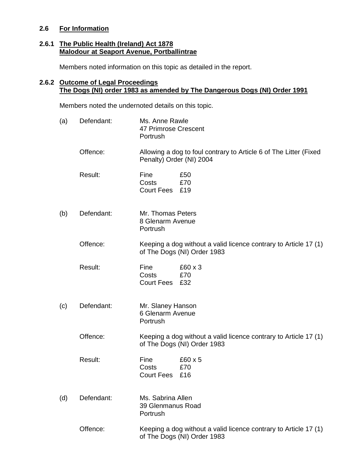# **2.6 For Information**

# **2.6.1 The Public Health (Ireland) Act 1878 Malodour at Seaport Avenue, Portballintrae**

Members noted information on this topic as detailed in the report.

# **2.6.2 Outcome of Legal Proceedings The Dogs (NI) order 1983 as amended by The Dangerous Dogs (NI) Order 1991**

Members noted the undernoted details on this topic.

| (a) | Defendant: | Ms. Anne Rawle<br>47 Primrose Crescent<br>Portrush                                              |
|-----|------------|-------------------------------------------------------------------------------------------------|
|     | Offence:   | Allowing a dog to foul contrary to Article 6 of The Litter (Fixed<br>Penalty) Order (NI) 2004   |
|     | Result:    | Fine<br>£50<br>Costs<br>£70<br>Court Fees £19                                                   |
| (b) | Defendant: | Mr. Thomas Peters<br>8 Glenarm Avenue<br>Portrush                                               |
|     | Offence:   | Keeping a dog without a valid licence contrary to Article 17 (1)<br>of The Dogs (NI) Order 1983 |
|     | Result:    | Fine<br>£60 x 3<br>Costs<br>£70<br>Court Fees £32                                               |
| (c) | Defendant: | Mr. Slaney Hanson<br>6 Glenarm Avenue<br>Portrush                                               |
|     | Offence:   | Keeping a dog without a valid licence contrary to Article 17 (1)<br>of The Dogs (NI) Order 1983 |
|     | Result:    | Fine<br>£60 x 5<br>Costs<br>£70<br>Court Fees £16                                               |
| (d) | Defendant: | Ms. Sabrina Allen<br>39 Glenmanus Road<br>Portrush                                              |
|     | Offence:   | Keeping a dog without a valid licence contrary to Article 17 (1)<br>of The Dogs (NI) Order 1983 |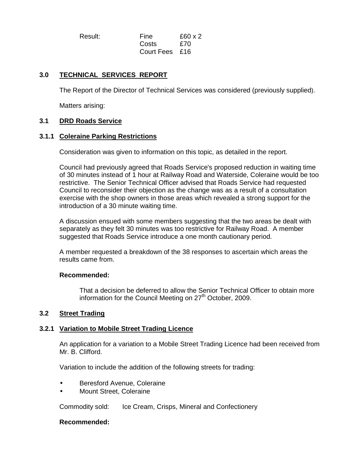Result: Fine £60 x 2 Costs £70 Court Fees £16

# **3.0 TECHNICAL SERVICES REPORT**

The Report of the Director of Technical Services was considered (previously supplied).

Matters arising:

# **3.1 DRD Roads Service**

# **3.1.1 Coleraine Parking Restrictions**

Consideration was given to information on this topic, as detailed in the report.

 Council had previously agreed that Roads Service's proposed reduction in waiting time of 30 minutes instead of 1 hour at Railway Road and Waterside, Coleraine would be too restrictive. The Senior Technical Officer advised that Roads Service had requested Council to reconsider their objection as the change was as a result of a consultation exercise with the shop owners in those areas which revealed a strong support for the introduction of a 30 minute waiting time.

 A discussion ensued with some members suggesting that the two areas be dealt with separately as they felt 30 minutes was too restrictive for Railway Road. A member suggested that Roads Service introduce a one month cautionary period.

 A member requested a breakdown of the 38 responses to ascertain which areas the results came from.

#### **Recommended:**

 That a decision be deferred to allow the Senior Technical Officer to obtain more information for the Council Meeting on  $27<sup>th</sup>$  October, 2009.

# **3.2 Street Trading**

# **3.2.1 Variation to Mobile Street Trading Licence**

 An application for a variation to a Mobile Street Trading Licence had been received from Mr. B. Clifford.

Variation to include the addition of the following streets for trading:

- Beresford Avenue, Coleraine
- Mount Street, Coleraine

Commodity sold: Ice Cream, Crisps, Mineral and Confectionery

#### **Recommended:**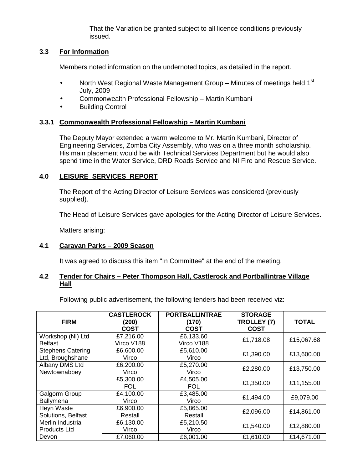That the Variation be granted subject to all licence conditions previously issued.

# **3.3 For Information**

Members noted information on the undernoted topics, as detailed in the report.

- North West Regional Waste Management Group Minutes of meetings held  $1^{st}$ July, 2009
- Commonwealth Professional Fellowship Martin Kumbani
- Building Control

# **3.3.1 Commonwealth Professional Fellowship – Martin Kumbani**

The Deputy Mayor extended a warm welcome to Mr. Martin Kumbani, Director of Engineering Services, Zomba City Assembly, who was on a three month scholarship. His main placement would be with Technical Services Department but he would also spend time in the Water Service, DRD Roads Service and NI Fire and Rescue Service.

# **4.0 LEISURE SERVICES REPORT**

 The Report of the Acting Director of Leisure Services was considered (previously supplied).

The Head of Leisure Services gave apologies for the Acting Director of Leisure Services.

Matters arising:

# **4.1 Caravan Parks – 2009 Season**

It was agreed to discuss this item "In Committee" at the end of the meeting.

# **4.2 Tender for Chairs – Peter Thompson Hall, Castlerock and Portballintrae Village Hall**

Following public advertisement, the following tenders had been received viz:

| <b>FIRM</b>                                  | <b>CASTLEROCK</b><br>(200)<br><b>COST</b> | <b>PORTBALLINTRAE</b><br>(170)<br>COST | <b>STORAGE</b><br>TROLLEY (7)<br><b>COST</b> | <b>TOTAL</b> |
|----------------------------------------------|-------------------------------------------|----------------------------------------|----------------------------------------------|--------------|
| Workshop (NI) Ltd<br><b>Belfast</b>          | £7,216.00<br>Virco V188                   | £6,133.60<br>Virco V188                | £1,718.08                                    | £15,067.68   |
| <b>Stephens Catering</b><br>Ltd, Broughshane | £6,600.00<br>Virco                        | £5,610.00<br>Virco                     | £1,390.00                                    | £13,600.00   |
| Albany DMS Ltd<br>Newtownabbey               | £6,200.00<br>Virco                        | £5,270.00<br>Virco                     | £2,280.00                                    | £13,750.00   |
|                                              | £5,300.00<br><b>FOL</b>                   | £4,505.00<br><b>FOL</b>                | £1,350.00                                    | £11,155.00   |
| Galgorm Group<br>Ballymena                   | £4,100.00<br>Virco                        | £3,485.00<br>Virco                     | £1,494.00                                    | £9,079.00    |
| Heyn Waste<br>Solutions, Belfast             | £6,900.00<br>Restall                      | £5,865.00<br>Restall                   | £2,096.00                                    | £14,861.00   |
| Merlin Industrial<br><b>Products Ltd</b>     | £6,130.00<br>Virco                        | £5,210.50<br>Virco                     | £1,540.00                                    | £12,880.00   |
| Devon                                        | £7,060.00                                 | £6,001.00                              | £1,610.00                                    | £14,671.00   |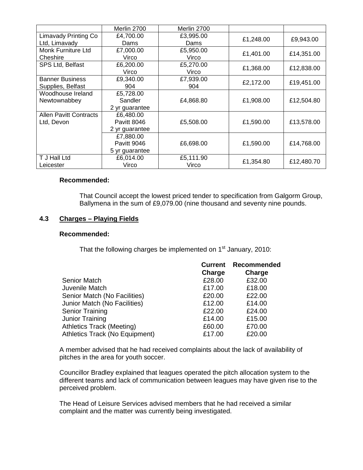|                               | Merlin 2700    | Merlin 2700 |           |            |
|-------------------------------|----------------|-------------|-----------|------------|
| <b>Limavady Printing Co</b>   | £4,700.00      | £3,995.00   | £1,248.00 | £9,943.00  |
| Ltd, Limavady                 | Dams           | Dams        |           |            |
| Monk Furniture Ltd            | £7,000.00      | £5,950.00   | £1,401.00 | £14,351.00 |
| Cheshire                      | Virco          | Virco       |           |            |
| SPS Ltd, Belfast              | £6,200.00      | £5,270.00   | £1,368.00 | £12,838.00 |
|                               | Virco          | Virco       |           |            |
| <b>Banner Business</b>        | £9,340.00      | £7,939.00   | £2,172.00 | £19,451.00 |
| Supplies, Belfast             | 904            | 904         |           |            |
| Woodhouse Ireland             | £5,728.00      |             |           |            |
| Newtownabbey                  | Sandler        | £4,868.80   | £1,908.00 | £12,504.80 |
|                               | 2 yr guarantee |             |           |            |
| <b>Allen Pavitt Contracts</b> | £6,480.00      |             |           |            |
| Ltd, Devon                    | Pavitt 8046    | £5,508.00   | £1,590.00 | £13,578.00 |
|                               | 2 yr guarantee |             |           |            |
|                               | £7,880.00      |             |           |            |
|                               | Pavitt 9046    | £6,698.00   | £1,590.00 | £14,768.00 |
|                               | 5 yr guarantee |             |           |            |
| T J Hall Ltd                  | £6,014.00      | £5,111.90   |           |            |
| Leicester                     | Virco          | Virco       | £1,354.80 | £12,480.70 |

#### **Recommended:**

 That Council accept the lowest priced tender to specification from Galgorm Group, Ballymena in the sum of £9,079.00 (nine thousand and seventy nine pounds.

# **4.3 Charges – Playing Fields**

#### **Recommended:**

That the following charges be implemented on 1<sup>st</sup> January, 2010:

|                                       | <b>Current</b> | Recommended |
|---------------------------------------|----------------|-------------|
|                                       | Charge         | Charge      |
| Senior Match                          | £28.00         | £32.00      |
| Juvenile Match                        | £17.00         | £18.00      |
| Senior Match (No Facilities)          | £20.00         | £22.00      |
| Junior Match (No Facilities)          | £12.00         | £14.00      |
| <b>Senior Training</b>                | £22.00         | £24.00      |
| Junior Training                       | £14.00         | £15.00      |
| <b>Athletics Track (Meeting)</b>      | £60.00         | £70.00      |
| <b>Athletics Track (No Equipment)</b> | £17.00         | £20.00      |
|                                       |                |             |

 A member advised that he had received complaints about the lack of availability of pitches in the area for youth soccer.

 Councillor Bradley explained that leagues operated the pitch allocation system to the different teams and lack of communication between leagues may have given rise to the perceived problem.

 The Head of Leisure Services advised members that he had received a similar complaint and the matter was currently being investigated.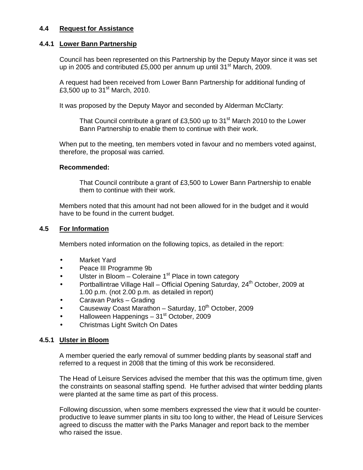# **4.4 Request for Assistance**

# **4.4.1 Lower Bann Partnership**

Council has been represented on this Partnership by the Deputy Mayor since it was set up in 2005 and contributed £5,000 per annum up until 31<sup>st</sup> March, 2009.

 A request had been received from Lower Bann Partnership for additional funding of £3,500 up to  $31<sup>st</sup>$  March, 2010.

It was proposed by the Deputy Mayor and seconded by Alderman McClarty:

That Council contribute a grant of £3,500 up to 31<sup>st</sup> March 2010 to the Lower Bann Partnership to enable them to continue with their work.

When put to the meeting, ten members voted in favour and no members voted against, therefore, the proposal was carried.

#### **Recommended:**

That Council contribute a grant of £3,500 to Lower Bann Partnership to enable them to continue with their work.

Members noted that this amount had not been allowed for in the budget and it would have to be found in the current budget.

# **4.5 For Information**

Members noted information on the following topics, as detailed in the report:

- Market Yard
- Peace III Programme 9b
- Ulster in Bloom Coleraine  $1<sup>st</sup>$  Place in town category
- Portballintrae Village Hall Official Opening Saturday,  $24<sup>th</sup>$  October, 2009 at 1.00 p.m. (not 2.00 p.m. as detailed in report)
- Caravan Parks Grading
- Causeway Coast Marathon Saturday, 10<sup>th</sup> October, 2009
- Halloween Happenings 31st October, 2009
- Christmas Light Switch On Dates

# **4.5.1 Ulster in Bloom**

A member queried the early removal of summer bedding plants by seasonal staff and referred to a request in 2008 that the timing of this work be reconsidered.

 The Head of Leisure Services advised the member that this was the optimum time, given the constraints on seasonal staffing spend. He further advised that winter bedding plants were planted at the same time as part of this process.

 Following discussion, when some members expressed the view that it would be counter productive to leave summer plants in situ too long to wither, the Head of Leisure Services agreed to discuss the matter with the Parks Manager and report back to the member who raised the issue.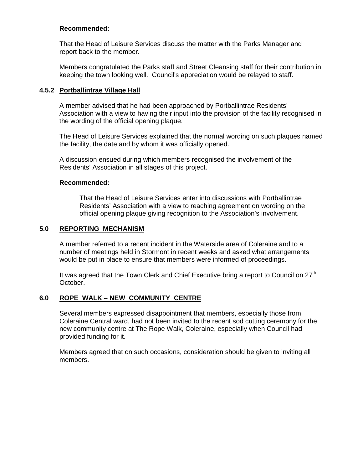# **Recommended:**

 That the Head of Leisure Services discuss the matter with the Parks Manager and report back to the member.

 Members congratulated the Parks staff and Street Cleansing staff for their contribution in keeping the town looking well. Council's appreciation would be relayed to staff.

# **4.5.2 Portballintrae Village Hall**

A member advised that he had been approached by Portballintrae Residents' Association with a view to having their input into the provision of the facility recognised in the wording of the official opening plaque.

 The Head of Leisure Services explained that the normal wording on such plaques named the facility, the date and by whom it was officially opened.

 A discussion ensued during which members recognised the involvement of the Residents' Association in all stages of this project.

# **Recommended:**

 That the Head of Leisure Services enter into discussions with Portballintrae Residents' Association with a view to reaching agreement on wording on the official opening plaque giving recognition to the Association's involvement.

# **5.0 REPORTING MECHANISM**

A member referred to a recent incident in the Waterside area of Coleraine and to a number of meetings held in Stormont in recent weeks and asked what arrangements would be put in place to ensure that members were informed of proceedings.

It was agreed that the Town Clerk and Chief Executive bring a report to Council on 27<sup>th</sup> October.

# **6.0 ROPE WALK – NEW COMMUNITY CENTRE**

Several members expressed disappointment that members, especially those from Coleraine Central ward, had not been invited to the recent sod cutting ceremony for the new community centre at The Rope Walk, Coleraine, especially when Council had provided funding for it.

 Members agreed that on such occasions, consideration should be given to inviting all members.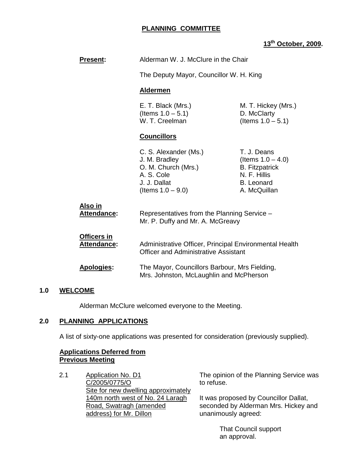# **PLANNING COMMITTEE**

# **13th October, 2009.**

| <b>Present:</b>                   | Alderman W. J. McClure in the Chair                                                                                                                                                               |                                                                                                                   |
|-----------------------------------|---------------------------------------------------------------------------------------------------------------------------------------------------------------------------------------------------|-------------------------------------------------------------------------------------------------------------------|
|                                   | The Deputy Mayor, Councillor W. H. King                                                                                                                                                           |                                                                                                                   |
|                                   | <b>Aldermen</b>                                                                                                                                                                                   |                                                                                                                   |
|                                   | E. T. Black (Mrs.)<br>(Items $1.0 - 5.1$ )<br>W. T. Creelman                                                                                                                                      | M. T. Hickey (Mrs.)<br>D. McClarty<br>(Items $1.0 - 5.1$ )                                                        |
|                                   | <b>Councillors</b>                                                                                                                                                                                |                                                                                                                   |
|                                   | C. S. Alexander (Ms.)<br>J. M. Bradley<br>O. M. Church (Mrs.)<br>A. S. Cole<br>J. J. Dallat<br>(Items $1.0 - 9.0$ )                                                                               | T. J. Deans<br>(Items $1.0 - 4.0$ )<br><b>B.</b> Fitzpatrick<br>N. F. Hillis<br><b>B.</b> Leonard<br>A. McQuillan |
| Also in<br>Attendance:            | Representatives from the Planning Service -<br>Mr. P. Duffy and Mr. A. McGreavy                                                                                                                   |                                                                                                                   |
| Officers in<br><b>Attendance:</b> | Administrative Officer, Principal Environmental Health<br><b>Officer and Administrative Assistant</b><br>The Mayor, Councillors Barbour, Mrs Fielding,<br>Mrs. Johnston, McLaughlin and McPherson |                                                                                                                   |
| <b>Apologies:</b>                 |                                                                                                                                                                                                   |                                                                                                                   |

# **1.0 WELCOME**

Alderman McClure welcomed everyone to the Meeting.

# **2.0 PLANNING APPLICATIONS**

A list of sixty-one applications was presented for consideration (previously supplied).

#### **Applications Deferred from Previous Meeting**

2.1 Application No. D1 C/2005/0775/O Site for new dwelling approximately 140m north west of No. 24 Laragh Road, Swatragh (amended address) for Mr. Dillon

The opinion of the Planning Service was to refuse.

It was proposed by Councillor Dallat, seconded by Alderman Mrs. Hickey and unanimously agreed:

> That Council support an approval.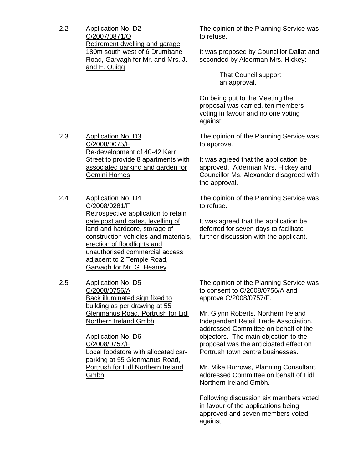2.2 Application No. D2 C/2007/0871/O Retirement dwelling and garage 180m south west of 6 Drumbane Road, Garvagh for Mr. and Mrs. J. and E. Quigg

The opinion of the Planning Service was to refuse.

It was proposed by Councillor Dallat and seconded by Alderman Mrs. Hickey:

> That Council support an approval.

On being put to the Meeting the proposal was carried, ten members voting in favour and no one voting against.

The opinion of the Planning Service was to approve.

It was agreed that the application be approved. Alderman Mrs. Hickey and Councillor Ms. Alexander disagreed with the approval.

The opinion of the Planning Service was to refuse.

It was agreed that the application be deferred for seven days to facilitate further discussion with the applicant.

2.5 Application No. D5 C/2008/0756/A Back illuminated sign fixed to building as per drawing at 55 Glenmanus Road, Portrush for Lidl Northern Ireland Gmbh

> Application No. D6 C/2008/0757/F Local foodstore with allocated carparking at 55 Glenmanus Road, Portrush for Lidl Northern Ireland Gmbh

The opinion of the Planning Service was to consent to C/2008/0756/A and approve C/2008/0757/F.

Mr. Glynn Roberts, Northern Ireland Independent Retail Trade Association, addressed Committee on behalf of the objectors. The main objection to the proposal was the anticipated effect on Portrush town centre businesses.

Mr. Mike Burrows, Planning Consultant, addressed Committee on behalf of Lidl Northern Ireland Gmbh.

Following discussion six members voted in favour of the applications being approved and seven members voted against.

- 2.3 Application No. D3 C/2008/0075/F Re-development of 40-42 Kerr Street to provide 8 apartments with associated parking and garden for Gemini Homes
- 2.4 Application No. D4
	- C/2008/0281/F Retrospective application to retain gate post and gates, levelling of land and hardcore, storage of construction vehicles and materials, erection of floodlights and
	- unauthorised commercial access adjacent to 2 Temple Road, Garvagh for Mr. G. Heaney
-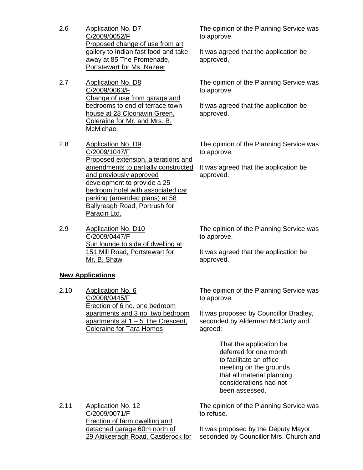- 2.6 Application No. D7 C/2009/0052/F Proposed change of use from art gallery to Indian fast food and take away at 85 The Promenade, Portstewart for Ms. Nazeer
- 2.7 Application No. D8 C/2009/0063/F Change of use from garage and bedrooms to end of terrace town house at 28 Cloonavin Green, Coleraine for Mr. and Mrs. B. **McMichael**
- 2.8 Application No. D9 C/2009/1047/F Proposed extension, alterations and amendments to partially constructed and previously approved development to provide a 25 bedroom hotel with associated car parking (amended plans) at 58 Ballyreagh Road, Portrush for Paracin Ltd.
- 2.9 Application No. D10 C/2009/0447/F Sun lounge to side of dwelling at 151 Mill Road, Portstewart for Mr. B. Shaw

**New Applications**

2.10 Application No. 6 C/2008/0445/F Erection of 6 no. one bedroom apartments and 3 no. two bedroom apartments at  $1 - 5$  The Crescent, Coleraine for Tara Homes

The opinion of the Planning Service was to approve.

It was agreed that the application be approved.

The opinion of the Planning Service was to approve.

It was agreed that the application be approved.

The opinion of the Planning Service was to approve.

It was agreed that the application be approved.

The opinion of the Planning Service was to approve.

It was agreed that the application be approved.

The opinion of the Planning Service was to approve.

It was proposed by Councillor Bradley, seconded by Alderman McClarty and agreed:

> That the application be deferred for one month to facilitate an office meeting on the grounds that all material planning considerations had not been assessed.

2.11 Application No. 12 C/2009/0071/F Erection of farm dwelling and detached garage 60m north of 29 Altikeeragh Road, Castlerock for The opinion of the Planning Service was to refuse.

It was proposed by the Deputy Mayor, seconded by Councillor Mrs. Church and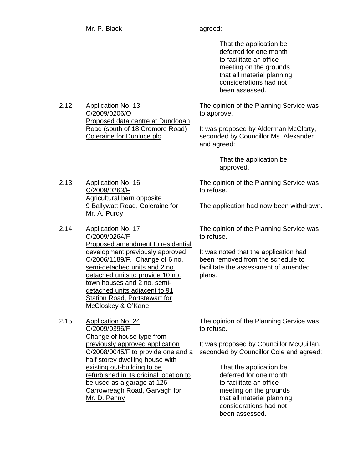That the application be deferred for one month to facilitate an office meeting on the grounds that all material planning considerations had not been assessed.

The opinion of the Planning Service was to approve.

It was proposed by Alderman McClarty, seconded by Councillor Ms. Alexander and agreed:

> That the application be approved.

The opinion of the Planning Service was to refuse.

The application had now been withdrawn.

The opinion of the Planning Service was to refuse.

It was noted that the application had been removed from the schedule to facilitate the assessment of amended plans.

2.15 Application No. 24 C/2009/0396/F Change of house type from previously approved application C/2008/0045/F to provide one and a half storey dwelling house with existing out-building to be refurbished in its original location to be used as a garage at 126 Carrowreagh Road, Garvagh for Mr. D. Penny

The opinion of the Planning Service was to refuse.

It was proposed by Councillor McQuillan, seconded by Councillor Cole and agreed:

> That the application be deferred for one month to facilitate an office meeting on the grounds that all material planning considerations had not been assessed.

2.12 Application No. 13 C/2009/0206/O Proposed data centre at Dundooan Road (south of 18 Cromore Road) Coleraine for Dunluce plc.

- 2.13 Application No. 16 C/2009/0263/F Agricultural barn opposite 9 Ballywatt Road, Coleraine for Mr. A. Purdy
- 2.14 Application No. 17 C/2009/0264/F Proposed amendment to residential development previously approved C/2006/1189/F. Change of 6 no. semi-detached units and 2 no. detached units to provide 10 no. town houses and 2 no. semidetached units adjacent to 91 Station Road, Portstewart for McCloskey & O'Kane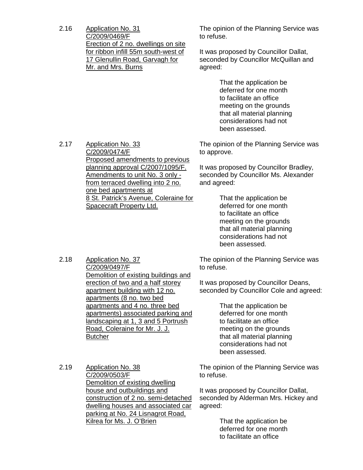2.16 Application No. 31 C/2009/0469/F Erection of 2 no. dwellings on site for ribbon infill 55m south-west of 17 Glenullin Road, Garvagh for Mr. and Mrs. Burns

The opinion of the Planning Service was to refuse.

It was proposed by Councillor Dallat, seconded by Councillor McQuillan and agreed:

> That the application be deferred for one month to facilitate an office meeting on the grounds that all material planning considerations had not been assessed.

The opinion of the Planning Service was to approve.

It was proposed by Councillor Bradley, seconded by Councillor Ms. Alexander and agreed:

> That the application be deferred for one month to facilitate an office meeting on the grounds that all material planning considerations had not been assessed.

The opinion of the Planning Service was to refuse.

It was proposed by Councillor Deans, seconded by Councillor Cole and agreed:

> That the application be deferred for one month to facilitate an office meeting on the grounds that all material planning considerations had not been assessed.

The opinion of the Planning Service was to refuse.

It was proposed by Councillor Dallat, seconded by Alderman Mrs. Hickey and agreed:

> That the application be deferred for one month to facilitate an office

2.17 Application No. 33 C/2009/0474/F Proposed amendments to previous planning approval C/2007/1095/F. Amendments to unit No. 3 only from terraced dwelling into 2 no. one bed apartments at 8 St. Patrick's Avenue, Coleraine for Spacecraft Property Ltd.

2.18 Application No. 37 C/2009/0497/F Demolition of existing buildings and erection of two and a half storey apartment building with 12 no. apartments (8 no. two bed apartments and 4 no. three bed apartments) associated parking and landscaping at 1, 3 and 5 Portrush Road, Coleraine for Mr. J. J. **Butcher** 

2.19 Application No. 38 C/2009/0503/F Demolition of existing dwelling house and outbuildings and construction of 2 no. semi-detached dwelling houses and associated car parking at No. 24 Lisnagrot Road, Kilrea for Ms. J. O'Brien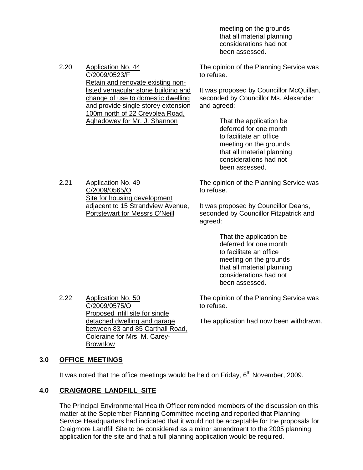meeting on the grounds that all material planning considerations had not been assessed.

| 2.20 | Application No. 44<br>C/2009/0523/F  | The opinion of the Planning Service was<br>to refuse. |  |
|------|--------------------------------------|-------------------------------------------------------|--|
|      | Retain and renovate existing non-    |                                                       |  |
|      | listed vernacular stone building and | It was proposed by Councillor McQuillan,              |  |
|      | change of use to domestic dwelling   | seconded by Councillor Ms. Alexander                  |  |
|      | and provide single storey extension  | and agreed:                                           |  |
|      | 100m north of 22 Crevolea Road,      |                                                       |  |
|      | Aghadowey for Mr. J. Shannon         | That the application be                               |  |
|      |                                      | deferred for one month                                |  |
|      |                                      |                                                       |  |

 to facilitate an office meeting on the grounds that all material planning considerations had not been assessed.

The opinion of the Planning Service was to refuse.

It was proposed by Councillor Deans, seconded by Councillor Fitzpatrick and agreed:

> That the application be deferred for one month to facilitate an office meeting on the grounds that all material planning considerations had not been assessed.

The opinion of the Planning Service was to refuse.

The application had now been withdrawn.

Site for housing development adjacent to 15 Strandview Avenue, Portstewart for Messrs O'Neill

> Proposed infill site for single detached dwelling and garage between 83 and 85 Carthall Road, Coleraine for Mrs. M. Carey-

2.21 Application No. 49 C/2009/0565/O

# **3.0 OFFICE MEETINGS**

It was noted that the office meetings would be held on Friday,  $6<sup>th</sup>$  November, 2009.

# **4.0 CRAIGMORE LANDFILL SITE**

2.22 Application No. 50 C/2009/0575/O

Brownlow

 The Principal Environmental Health Officer reminded members of the discussion on this matter at the September Planning Committee meeting and reported that Planning Service Headquarters had indicated that it would not be acceptable for the proposals for Craigmore Landfill Site to be considered as a minor amendment to the 2005 planning application for the site and that a full planning application would be required.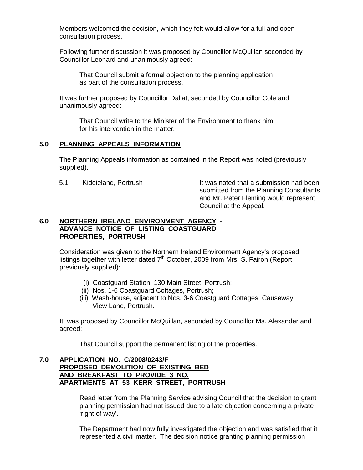Members welcomed the decision, which they felt would allow for a full and open consultation process.

 Following further discussion it was proposed by Councillor McQuillan seconded by Councillor Leonard and unanimously agreed:

 That Council submit a formal objection to the planning application as part of the consultation process.

 It was further proposed by Councillor Dallat, seconded by Councillor Cole and unanimously agreed:

 That Council write to the Minister of the Environment to thank him for his intervention in the matter.

#### **5.0 PLANNING APPEALS INFORMATION**

 The Planning Appeals information as contained in the Report was noted (previously supplied).

5.1 Kiddieland, Portrush It was noted that a submission had been submitted from the Planning Consultants and Mr. Peter Fleming would represent Council at the Appeal.

# **6.0 NORTHERN IRELAND ENVIRONMENT AGENCY - ADVANCE NOTICE OF LISTING COASTGUARD PROPERTIES, PORTRUSH**

 Consideration was given to the Northern Ireland Environment Agency's proposed listings together with letter dated  $7<sup>th</sup>$  October, 2009 from Mrs. S. Fairon (Report previously supplied):

- (i) Coastguard Station, 130 Main Street, Portrush;
- (ii) Nos. 1-6 Coastguard Cottages, Portrush;
- (iii) Wash-house, adjacent to Nos. 3-6 Coastguard Cottages, Causeway View Lane, Portrush.

 It was proposed by Councillor McQuillan, seconded by Councillor Ms. Alexander and agreed:

That Council support the permanent listing of the properties.

#### **7.0 APPLICATION NO. C/2008/0243/F PROPOSED DEMOLITION OF EXISTING BED AND BREAKFAST TO PROVIDE 3 NO. APARTMENTS AT 53 KERR STREET, PORTRUSH**

 Read letter from the Planning Service advising Council that the decision to grant planning permission had not issued due to a late objection concerning a private 'right of way'.

 The Department had now fully investigated the objection and was satisfied that it represented a civil matter. The decision notice granting planning permission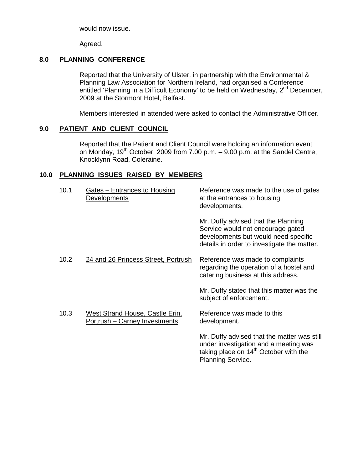would now issue.

Agreed.

# **8.0 PLANNING CONFERENCE**

 Reported that the University of Ulster, in partnership with the Environmental & Planning Law Association for Northern Ireland, had organised a Conference entitled 'Planning in a Difficult Economy' to be held on Wednesday, 2<sup>nd</sup> December, 2009 at the Stormont Hotel, Belfast.

Members interested in attended were asked to contact the Administrative Officer.

# **9.0 PATIENT AND CLIENT COUNCIL**

 Reported that the Patient and Client Council were holding an information event on Monday,  $19^{th}$  October, 2009 from 7.00 p.m.  $-$  9.00 p.m. at the Sandel Centre, Knocklynn Road, Coleraine.

# **10.0 PLANNING ISSUES RAISED BY MEMBERS**

| 10.1 | Gates – Entrances to Housing<br>Developments                     | Reference was made to the use of gates<br>at the entrances to housing<br>developments.                                                                                |
|------|------------------------------------------------------------------|-----------------------------------------------------------------------------------------------------------------------------------------------------------------------|
|      |                                                                  | Mr. Duffy advised that the Planning<br>Service would not encourage gated<br>developments but would need specific<br>details in order to investigate the matter.       |
| 10.2 | 24 and 26 Princess Street, Portrush                              | Reference was made to complaints<br>regarding the operation of a hostel and<br>catering business at this address.                                                     |
|      |                                                                  | Mr. Duffy stated that this matter was the<br>subject of enforcement.                                                                                                  |
| 10.3 | West Strand House, Castle Erin,<br>Portrush - Carney Investments | Reference was made to this<br>development.                                                                                                                            |
|      |                                                                  | Mr. Duffy advised that the matter was still<br>under investigation and a meeting was<br>taking place on 14 <sup>th</sup> October with the<br><b>Planning Service.</b> |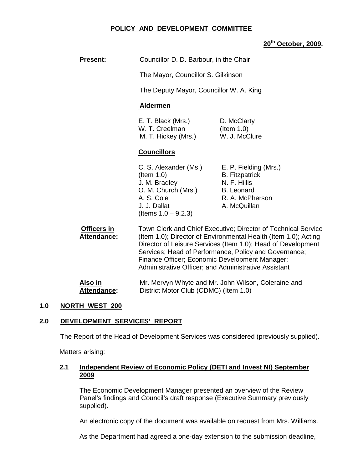# **POLICY AND DEVELOPMENT COMMITTEE**

# **20th October, 2009.**

| <b>Present:</b>            | Councillor D. D. Barbour, in the Chair                                                                                                 |                                                                                                                                                                                                                                                                                                                                                                     |  |  |  |
|----------------------------|----------------------------------------------------------------------------------------------------------------------------------------|---------------------------------------------------------------------------------------------------------------------------------------------------------------------------------------------------------------------------------------------------------------------------------------------------------------------------------------------------------------------|--|--|--|
|                            | The Mayor, Councillor S. Gilkinson                                                                                                     |                                                                                                                                                                                                                                                                                                                                                                     |  |  |  |
|                            | The Deputy Mayor, Councillor W. A. King                                                                                                |                                                                                                                                                                                                                                                                                                                                                                     |  |  |  |
|                            | <b>Aldermen</b>                                                                                                                        |                                                                                                                                                                                                                                                                                                                                                                     |  |  |  |
|                            | E. T. Black (Mrs.)<br>W. T. Creelman<br>M. T. Hickey (Mrs.)                                                                            | D. McClarty<br>$($ ltem 1.0 $)$<br>W. J. McClure                                                                                                                                                                                                                                                                                                                    |  |  |  |
|                            | <b>Councillors</b>                                                                                                                     |                                                                                                                                                                                                                                                                                                                                                                     |  |  |  |
|                            | C. S. Alexander (Ms.)<br>$($ ltem 1.0)<br>J. M. Bradley<br>O. M. Church (Mrs.)<br>A. S. Cole<br>J. J. Dallat<br>(Items $1.0 - 9.2.3$ ) | E. P. Fielding (Mrs.)<br><b>B.</b> Fitzpatrick<br>N. F. Hillis<br><b>B.</b> Leonard<br>R. A. McPherson<br>A. McQuillan                                                                                                                                                                                                                                              |  |  |  |
| Officers in<br>Attendance: |                                                                                                                                        | Town Clerk and Chief Executive; Director of Technical Service<br>(Item 1.0); Director of Environmental Health (Item 1.0); Acting<br>Director of Leisure Services (Item 1.0); Head of Development<br>Services; Head of Performance, Policy and Governance;<br>Finance Officer; Economic Development Manager;<br>Administrative Officer; and Administrative Assistant |  |  |  |

**Also in Mr. Mervyn Whyte and Mr. John Wilson, Coleraine and Mr. John Wilson, Coleraine and Attendance:** District Motor Club (CDMC) (Item 1.0)

# **1.0 NORTH WEST 200**

# **2.0 DEVELOPMENT SERVICES' REPORT**

The Report of the Head of Development Services was considered (previously supplied).

Matters arising:

# **2.1 Independent Review of Economic Policy (DETI and Invest NI) September 2009**

The Economic Development Manager presented an overview of the Review Panel's findings and Council's draft response (Executive Summary previously supplied).

An electronic copy of the document was available on request from Mrs. Williams.

As the Department had agreed a one-day extension to the submission deadline,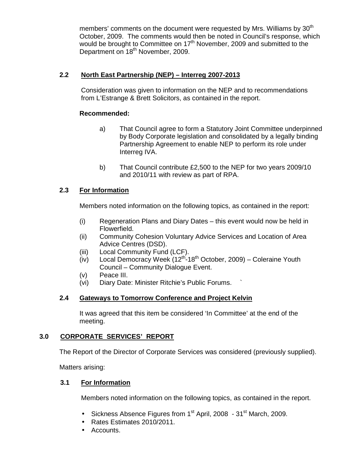members' comments on the document were requested by Mrs. Williams by  $30<sup>th</sup>$ October, 2009. The comments would then be noted in Council's response, which would be brought to Committee on 17<sup>th</sup> November, 2009 and submitted to the Department on 18<sup>th</sup> November, 2009.

# **2.2 North East Partnership (NEP) – Interreg 2007-2013**

Consideration was given to information on the NEP and to recommendations from L'Estrange & Brett Solicitors, as contained in the report.

#### **Recommended:**

- a) That Council agree to form a Statutory Joint Committee underpinned by Body Corporate legislation and consolidated by a legally binding Partnership Agreement to enable NEP to perform its role under Interreg IVA.
- b) That Council contribute £2,500 to the NEP for two years 2009/10 and 2010/11 with review as part of RPA.

# **2.3 For Information**

Members noted information on the following topics, as contained in the report:

- (i) Regeneration Plans and Diary Dates this event would now be held in Flowerfield.
- (ii) Community Cohesion Voluntary Advice Services and Location of Area Advice Centres (DSD).
- (iii) Local Community Fund (LCF).
- $(iv)$  Local Democracy Week  $(12<sup>th</sup> 18<sup>th</sup>$  October, 2009) Coleraine Youth Council – Community Dialogue Event.
- (v) Peace III.
- (vi) Diary Date: Minister Ritchie's Public Forums. `

# **2.4 Gateways to Tomorrow Conference and Project Kelvin**

It was agreed that this item be considered 'In Committee' at the end of the meeting.

# **3.0 CORPORATE SERVICES' REPORT**

The Report of the Director of Corporate Services was considered (previously supplied).

Matters arising:

# **3.1 For Information**

Members noted information on the following topics, as contained in the report.

- Sickness Absence Figures from  $1<sup>st</sup>$  April, 2008  $31<sup>st</sup>$  March, 2009.
- Rates Estimates 2010/2011.
- Accounts.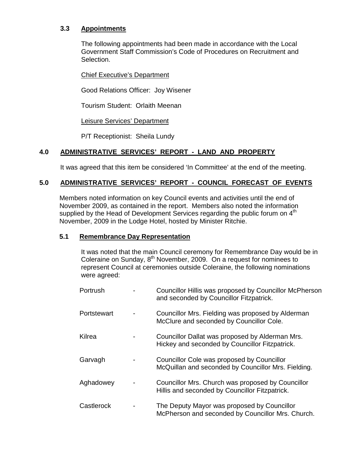# **3.3 Appointments**

The following appointments had been made in accordance with the Local Government Staff Commission's Code of Procedures on Recruitment and Selection.

# Chief Executive's Department

Good Relations Officer: Joy Wisener

Tourism Student: Orlaith Meenan

Leisure Services' Department

P/T Receptionist: Sheila Lundy

# **4.0 ADMINISTRATIVE SERVICES' REPORT - LAND AND PROPERTY**

It was agreed that this item be considered 'In Committee' at the end of the meeting.

# **5.0 ADMINISTRATIVE SERVICES' REPORT - COUNCIL FORECAST OF EVENTS**

Members noted information on key Council events and activities until the end of November 2009, as contained in the report. Members also noted the information supplied by the Head of Development Services regarding the public forum on 4<sup>th</sup> November, 2009 in the Lodge Hotel, hosted by Minister Ritchie.

#### **5.1 Remembrance Day Representation**

It was noted that the main Council ceremony for Remembrance Day would be in Coleraine on Sunday,  $8<sup>th</sup>$  November, 2009. On a request for nominees to represent Council at ceremonies outside Coleraine, the following nominations were agreed:

| Portrush    | Councillor Hillis was proposed by Councillor McPherson<br>and seconded by Councillor Fitzpatrick.   |
|-------------|-----------------------------------------------------------------------------------------------------|
| Portstewart | Councillor Mrs. Fielding was proposed by Alderman<br>McClure and seconded by Councillor Cole.       |
| Kilrea      | Councillor Dallat was proposed by Alderman Mrs.<br>Hickey and seconded by Councillor Fitzpatrick.   |
| Garvagh     | Councillor Cole was proposed by Councillor<br>McQuillan and seconded by Councillor Mrs. Fielding.   |
| Aghadowey   | Councillor Mrs. Church was proposed by Councillor<br>Hillis and seconded by Councillor Fitzpatrick. |
| Castlerock  | The Deputy Mayor was proposed by Councillor<br>McPherson and seconded by Councillor Mrs. Church.    |